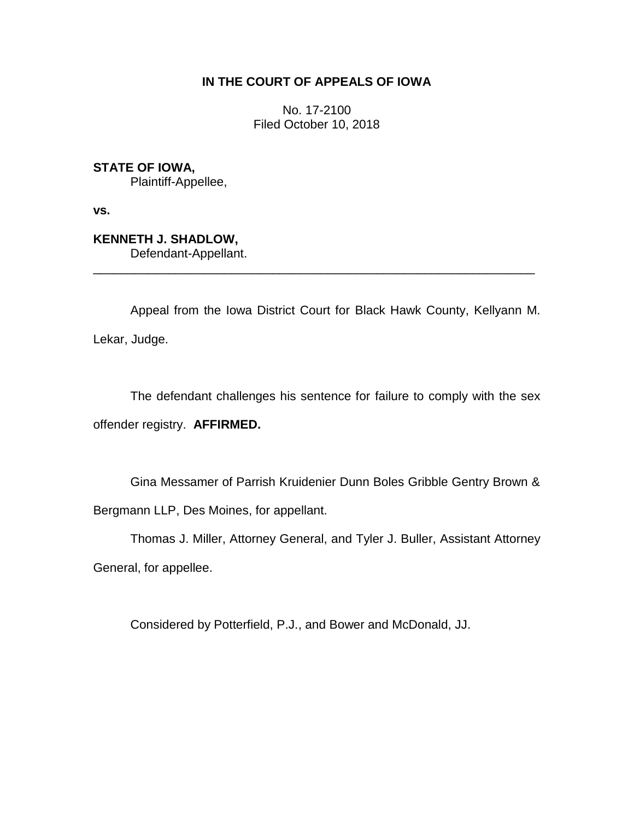## **IN THE COURT OF APPEALS OF IOWA**

No. 17-2100 Filed October 10, 2018

**STATE OF IOWA,** Plaintiff-Appellee,

**vs.**

**KENNETH J. SHADLOW,** Defendant-Appellant.

Appeal from the Iowa District Court for Black Hawk County, Kellyann M. Lekar, Judge.

\_\_\_\_\_\_\_\_\_\_\_\_\_\_\_\_\_\_\_\_\_\_\_\_\_\_\_\_\_\_\_\_\_\_\_\_\_\_\_\_\_\_\_\_\_\_\_\_\_\_\_\_\_\_\_\_\_\_\_\_\_\_\_\_

The defendant challenges his sentence for failure to comply with the sex offender registry. **AFFIRMED.**

Gina Messamer of Parrish Kruidenier Dunn Boles Gribble Gentry Brown & Bergmann LLP, Des Moines, for appellant.

Thomas J. Miller, Attorney General, and Tyler J. Buller, Assistant Attorney

General, for appellee.

Considered by Potterfield, P.J., and Bower and McDonald, JJ.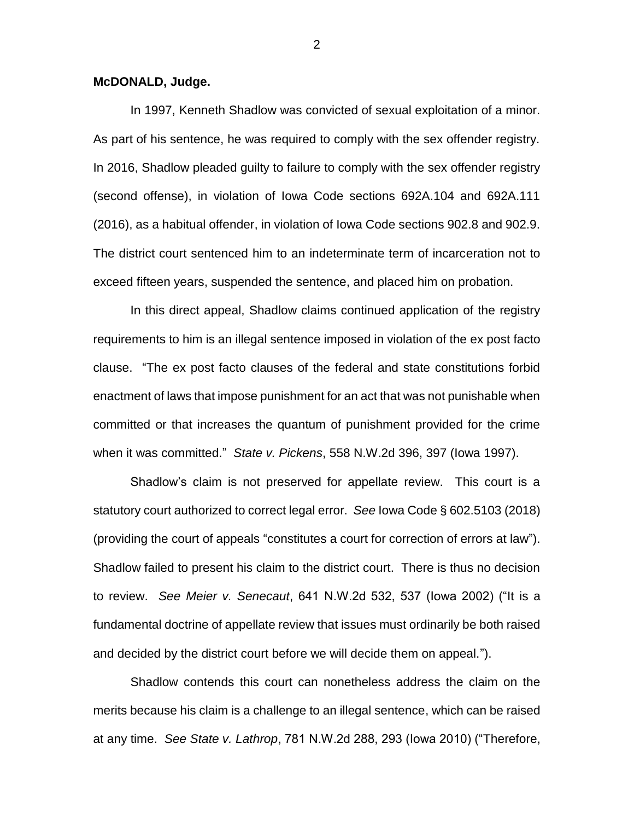## **McDONALD, Judge.**

In 1997, Kenneth Shadlow was convicted of sexual exploitation of a minor. As part of his sentence, he was required to comply with the sex offender registry. In 2016, Shadlow pleaded guilty to failure to comply with the sex offender registry (second offense), in violation of Iowa Code sections 692A.104 and 692A.111 (2016), as a habitual offender, in violation of Iowa Code sections 902.8 and 902.9. The district court sentenced him to an indeterminate term of incarceration not to exceed fifteen years, suspended the sentence, and placed him on probation.

In this direct appeal, Shadlow claims continued application of the registry requirements to him is an illegal sentence imposed in violation of the ex post facto clause. "The ex post facto clauses of the federal and state constitutions forbid enactment of laws that impose punishment for an act that was not punishable when committed or that increases the quantum of punishment provided for the crime when it was committed." *State v. Pickens*, 558 N.W.2d 396, 397 (Iowa 1997).

Shadlow's claim is not preserved for appellate review. This court is a statutory court authorized to correct legal error. *See* Iowa Code § 602.5103 (2018) (providing the court of appeals "constitutes a court for correction of errors at law"). Shadlow failed to present his claim to the district court. There is thus no decision to review. *See Meier v. Senecaut*, 641 N.W.2d 532, 537 (Iowa 2002) ("It is a fundamental doctrine of appellate review that issues must ordinarily be both raised and decided by the district court before we will decide them on appeal.").

Shadlow contends this court can nonetheless address the claim on the merits because his claim is a challenge to an illegal sentence, which can be raised at any time. *See State v. Lathrop*, 781 N.W.2d 288, 293 (Iowa 2010) ("Therefore,

2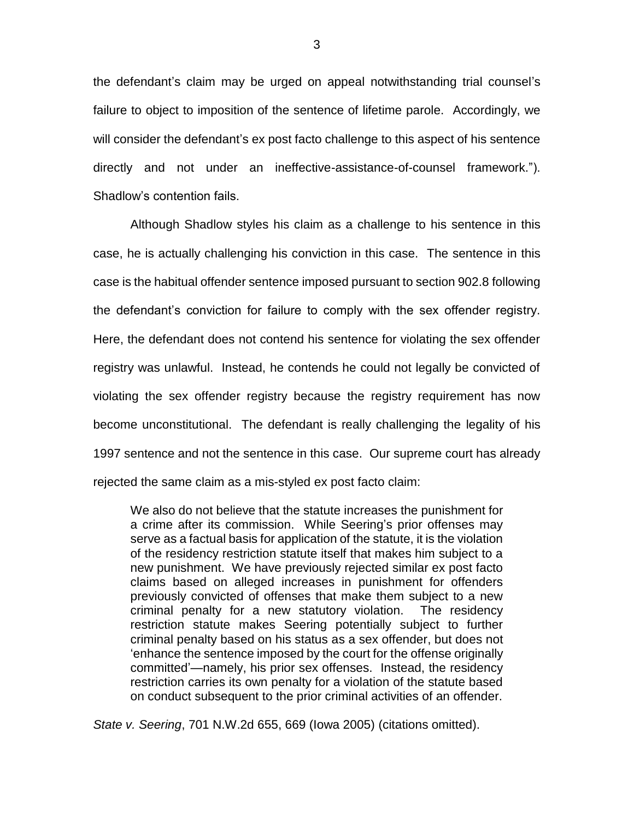the defendant's claim may be urged on appeal notwithstanding trial counsel's failure to object to imposition of the sentence of lifetime parole. Accordingly, we will consider the defendant's ex post facto challenge to this aspect of his sentence directly and not under an ineffective-assistance-of-counsel framework."). Shadlow's contention fails.

Although Shadlow styles his claim as a challenge to his sentence in this case, he is actually challenging his conviction in this case. The sentence in this case is the habitual offender sentence imposed pursuant to section 902.8 following the defendant's conviction for failure to comply with the sex offender registry. Here, the defendant does not contend his sentence for violating the sex offender registry was unlawful. Instead, he contends he could not legally be convicted of violating the sex offender registry because the registry requirement has now become unconstitutional. The defendant is really challenging the legality of his 1997 sentence and not the sentence in this case. Our supreme court has already rejected the same claim as a mis-styled ex post facto claim:

We also do not believe that the statute increases the punishment for a crime after its commission. While Seering's prior offenses may serve as a factual basis for application of the statute, it is the violation of the residency restriction statute itself that makes him subject to a new punishment. We have previously rejected similar ex post facto claims based on alleged increases in punishment for offenders previously convicted of offenses that make them subject to a new criminal penalty for a new statutory violation. The residency restriction statute makes Seering potentially subject to further criminal penalty based on his status as a sex offender, but does not 'enhance the sentence imposed by the court for the offense originally committed'—namely, his prior sex offenses. Instead, the residency restriction carries its own penalty for a violation of the statute based on conduct subsequent to the prior criminal activities of an offender.

*State v. Seering*, 701 N.W.2d 655, 669 (Iowa 2005) (citations omitted).